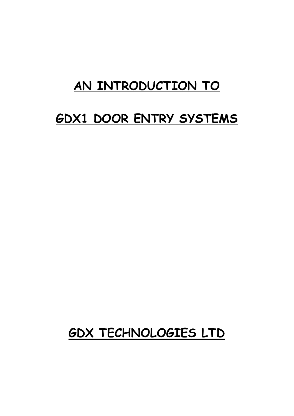# **AN INTRODUCTION TO**

# **GDX1 DOOR ENTRY SYSTEMS**

# **GDX TECHNOLOGIES LTD**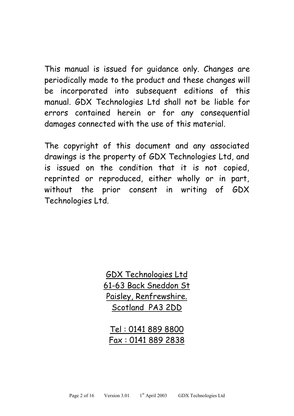This manual is issued for guidance only. Changes are periodically made to the product and these changes will be incorporated into subsequent editions of this manual. GDX Technologies Ltd shall not be liable for errors contained herein or for any consequential damages connected with the use of this material.

The copyright of this document and any associated drawings is the property of GDX Technologies Ltd, and is issued on the condition that it is not copied, reprinted or reproduced, either wholly or in part, without the prior consent in writing of GDX Technologies Ltd.

> GDX Technologies Ltd 61-63 Back Sneddon St Paisley, Renfrewshire. Scotland PA3 2DD

Tel : 0141 889 8800 Fax : 0141 889 2838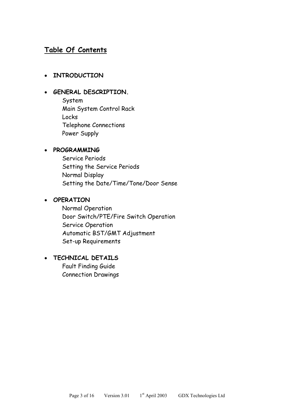# **Table Of Contents**

#### **INTRODUCTION**

#### **GENERAL DESCRIPTION.**

System Main System Control Rack Locks Telephone Connections Power Supply

#### **PROGRAMMING**

Service Periods Setting the Service Periods Normal Display Setting the Date/Time/Tone/Door Sense

#### **OPERATION**

Normal Operation Door Switch/PTE/Fire Switch Operation Service Operation Automatic BST/GMT Adjustment Set-up Requirements

# **TECHNICAL DETAILS**

Fault Finding Guide Connection Drawings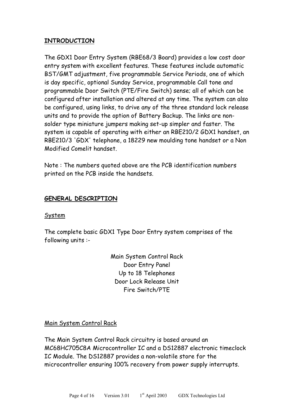### **INTRODUCTION**

The GDX1 Door Entry System (RBE68/3 Board) provides a low cost door entry system with excellent features. These features include automatic BST/GMT adjustment, five programmable Service Periods, one of which is day specific, optional Sunday Service, programmable Call tone and programmable Door Switch (PTE/Fire Switch) sense; all of which can be configured after installation and altered at any time. The system can also be configured, using links, to drive any of the three standard lock release units and to provide the option of Battery Backup. The links are nonsolder type miniature jumpers making set-up simpler and faster. The system is capable of operating with either an RBE210/2 GDX1 handset, an RBE210/3 'GDX' telephone, a 18229 new moulding tone handset or a Non Modified Comelit handset.

Note : The numbers quoted above are the PCB identification numbers printed on the PCB inside the handsets.

#### **GENERAL DESCRIPTION**

#### System

The complete basic GDX1 Type Door Entry system comprises of the following units :-

> Main System Control Rack Door Entry Panel Up to 18 Telephones Door Lock Release Unit Fire Switch/PTE

#### Main System Control Rack

The Main System Control Rack circuitry is based around an MC68HC705C8A Microcontroller IC and a DS12887 electronic timeclock IC Module. The DS12887 provides a non-volatile store for the microcontroller ensuring 100% recovery from power supply interrupts.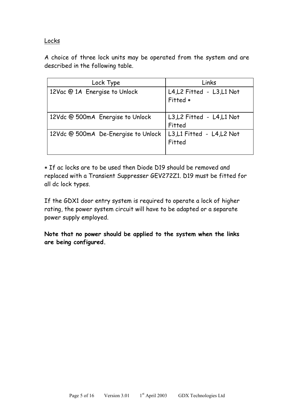#### Locks

A choice of three lock units may be operated from the system and are described in the following table.

| Lock Type                           | Links                                  |
|-------------------------------------|----------------------------------------|
| 12Vac @ 1A Energise to Unlock       | L4, L2 Fitted - L3, L1 Not<br>Fitted * |
| 12Vdc @ 500mA Energise to Unlock    | L3, L2 Fitted - L4, L1 Not<br>Fitted   |
| 12Vdc @ 500mA De-Energise to Unlock | L3,L1 Fitted - L4,L2 Not<br>Fitted     |

 If ac locks are to be used then Diode D19 should be removed and replaced with a Transient Suppresser GEV272Z1. D19 must be fitted for all dc lock types.

If the GDX1 door entry system is required to operate a lock of higher rating, the power system circuit will have to be adapted or a separate power supply employed.

**Note that no power should be applied to the system when the links are being configured.**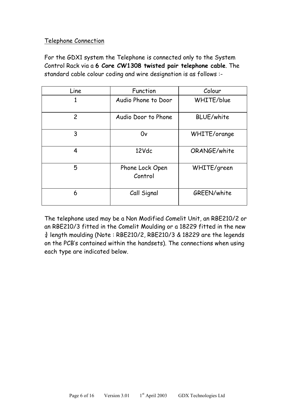# Telephone Connection

For the GDX1 system the Telephone is connected only to the System Control Rack via a **6 Core CW1308 twisted pair telephone cable**. The standard cable colour coding and wire designation is as follows :-

| Line           | Function                   | Colour            |
|----------------|----------------------------|-------------------|
| 1              | Audio Phone to Door        | WHITE/blue        |
| $\overline{c}$ | Audio Door to Phone        | <b>BLUE/white</b> |
| 3              | 0v                         | WHITE/orange      |
| 4              | 12Vdc                      | ORANGE/white      |
| 5              | Phone Lock Open<br>Control | WHITE/green       |
| 6              | Call Signal                | GREEN/white       |

The telephone used may be a Non Modified Comelit Unit, an RBE210/2 or an RBE210/3 fitted in the Comelit Moulding or a 18229 fitted in the new  $\frac{3}{4}$  length moulding (Note: RBE210/2, RBE210/3 & 18229 are the legends on the PCB's contained within the handsets). The connections when using each type are indicated below.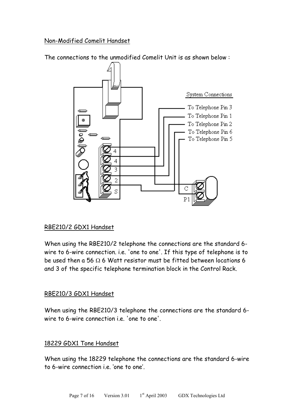Non-Modified Comelit Handset

The connections to the unmodified Comelit Unit is as shown below :



# RBE210/2 GDX1 Handset

When using the RBE210/2 telephone the connections are the standard 6 wire to 6-wire connection. i.e. 'one to one'. If this type of telephone is to be used then a 56  $\Omega$  6 Watt resistor must be fitted between locations 6 and 3 of the specific telephone termination block in the Control Rack.

#### RBE210/3 GDX1 Handset

When using the RBE210/3 telephone the connections are the standard 6 wire to 6-wire connection i.e. 'one to one'.

#### 18229 GDX1 Tone Handset

When using the 18229 telephone the connections are the standard 6-wire to 6-wire connection i.e. 'one to one'.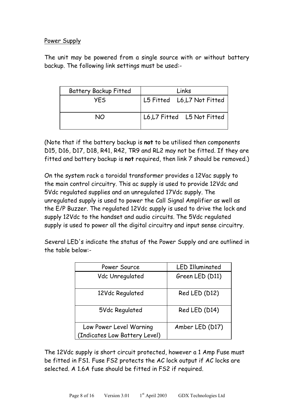# Power Supply

The unit may be powered from a single source with or without battery backup. The following link settings must be used:-

| <b>Battery Backup Fitted</b> | Links                       |
|------------------------------|-----------------------------|
| <b>YFS</b>                   | L5 Fitted L6, L7 Not Fitted |
| NO.                          | L6,L7 Fitted L5 Not Fitted  |

(Note that if the battery backup is **not** to be utilised then components D15, D16, D17, D18, R41, R42, TR9 and RL2 may not be fitted. If they are fitted and battery backup is **not** required, then link 7 should be removed.)

On the system rack a toroidal transformer provides a 12Vac supply to the main control circuitry. This ac supply is used to provide 12Vdc and 5Vdc regulated supplies and an unregulated 17Vdc supply. The unregulated supply is used to power the Call Signal Amplifier as well as the E/P Buzzer. The regulated 12Vdc supply is used to drive the lock and supply 12Vdc to the handset and audio circuits. The 5Vdc regulated supply is used to power all the digital circuitry and input sense circuitry.

Several LED's indicate the status of the Power Supply and are outlined in the table below:-

| Power Source                  | <b>LED Illuminated</b> |
|-------------------------------|------------------------|
| Vdc Unregulated               | Green LED (D11)        |
| 12Vdc Regulated               | Red LED (D12)          |
| 5Vdc Regulated                | Red LED (D14)          |
| Low Power Level Warning       | Amber LED (D17)        |
| (Indicates Low Battery Level) |                        |

The 12Vdc supply is short circuit protected, however a 1 Amp Fuse must be fitted in FS1. Fuse FS2 protects the AC lock output if AC locks are selected. A 1.6A fuse should be fitted in FS2 if required.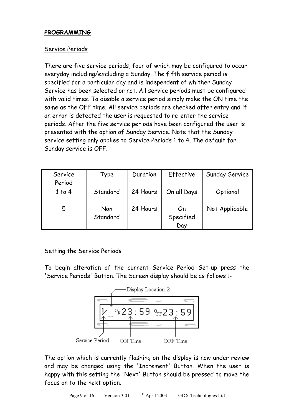# **PROGRAMMING**

#### Service Periods

There are five service periods, four of which may be configured to occur everyday including/excluding a Sunday. The fifth service period is specified for a particular day and is independent of whither Sunday Service has been selected or not. All service periods must be configured with valid times. To disable a service period simply make the ON time the same as the OFF time. All service periods are checked after entry and if an error is detected the user is requested to re-enter the service periods. After the five service periods have been configured the user is presented with the option of Sunday Service. Note that the Sunday service setting only applies to Service Periods 1 to 4. The default for Sunday service is OFF.

| Service<br>Period | Type            | Duration | Effective              | Sunday Service |
|-------------------|-----------------|----------|------------------------|----------------|
| 1 to 4            | Standard        | 24 Hours | On all Days            | Optional       |
| 5                 | Non<br>Standard | 24 Hours | On<br>Specified<br>Day | Not Applicable |

#### Setting the Service Periods

To begin alteration of the current Service Period Set-up press the 'Service Periods' Button. The Screen display should be as follows :-



The option which is currently flashing on the display is now under review and may be changed using the 'Increment' Button. When the user is happy with this setting the 'Next' Button should be pressed to move the focus on to the next option.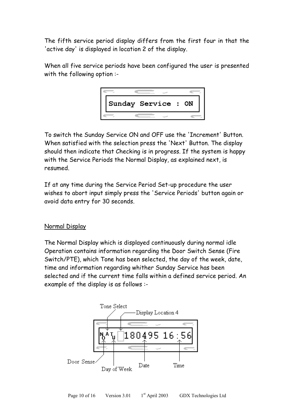The fifth service period display differs from the first four in that the 'active day' is displayed in location 2 of the display.

When all five service periods have been configured the user is presented with the following option :-



To switch the Sunday Service ON and OFF use the 'Increment' Button. When satisfied with the selection press the 'Next' Button. The display should then indicate that Checking is in progress. If the system is happy with the Service Periods the Normal Display, as explained next, is resumed.

If at any time during the Service Period Set-up procedure the user wishes to abort input simply press the 'Service Periods' button again or avoid data entry for 30 seconds.

# Normal Display

The Normal Display which is displayed continuously during normal idle Operation contains information regarding the Door Switch Sense (Fire Switch/PTE), which Tone has been selected, the day of the week, date, time and information regarding whither Sunday Service has been selected and if the current time falls within a defined service period. An example of the display is as follows :-

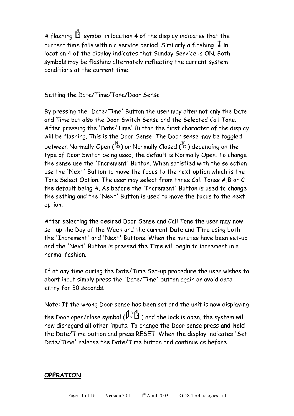A flashing  $\Box$  symbol in location 4 of the display indicates that the current time falls within a service period. Similarly a flashing  $\textbf{1}$  in location 4 of the display indicates that Sunday Service is ON. Both symbols may be flashing alternately reflecting the current system conditions at the current time.

# Setting the Date/Time/Tone/Door Sense

By pressing the 'Date/Time' Button the user may alter not only the Date and Time but also the Door Switch Sense and the Selected Call Tone. After pressing the 'Date/Time' Button the first character of the display will be flashing. This is the Door Sense. The Door sense may be toggled between Normally Open  $\binom{N}{0}$  or Normally Closed  $\binom{N}{C}$  depending on the type of Door Switch being used, the default is Normally Open. To change the sense use the 'Increment' Button. When satisfied with the selection use the 'Next' Button to move the focus to the next option which is the Tone Select Option. The user may select from three Call Tones A,B or C the default being A. As before the 'Increment' Button is used to change the setting and the 'Next' Button is used to move the focus to the next option.

After selecting the desired Door Sense and Call Tone the user may now set-up the Day of the Week and the current Date and Time using both the 'Increment' and 'Next' Buttons. When the minutes have been set-up and the 'Next' Button is pressed the Time will begin to increment in a normal fashion.

If at any time during the Date/Time Set-up procedure the user wishes to abort input simply press the 'Date/Time' button again or avoid data entry for 30 seconds.

Note: If the wrong Door sense has been set and the unit is now displaying the Door open/close symbol ( $\beta \notin \mathbb{C}$ ) and the lock is open, the system will now disregard all other inputs. To change the Door sense press **and hold** the Date/Time button and press RESET. When the display indicates 'Set Date/Time' release the Date/Time button and continue as before.

#### **OPERATION**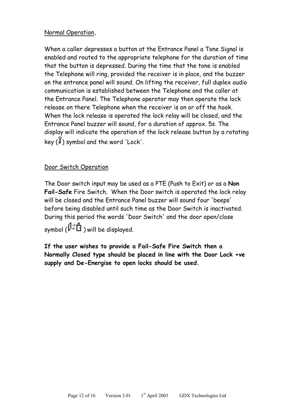# Normal Operation**.**

When a caller depresses a button at the Entrance Panel a Tone Signal is enabled and routed to the appropriate telephone for the duration of time that the button is depressed. During the time that the tone is enabled the Telephone will ring, provided the receiver is in place, and the buzzer on the entrance panel will sound. On lifting the receiver, full duplex audio communication is established between the Telephone and the caller at the Entrance Panel. The Telephone operator may then operate the lock release on there Telephone when the receiver is on or off the hook. When the lock release is operated the lock relay will be closed, and the Entrance Panel buzzer will sound, for a duration of approx. 5s. The display will indicate the operation of the lock release button by a rotating key  $(\hat{J})$  symbol and the word 'Lock'.

# Door Switch Operation

The Door switch input may be used as a PTE (Push to Exit) or as a **Non Fail-Safe** Fire Switch. When the Door switch is operated the lock relay will be closed and the Entrance Panel buzzer will sound four 'beeps' before being disabled until such time as the Door Switch is inactivated. During this period the words 'Door Switch' and the door open/close symbol  $(\hat{V} \in \hat{H}$ ) will be displayed.

**If the user wishes to provide a Fail-Safe Fire Switch then a Normally Closed type should be placed in line with the Door Lock +ve supply and De-Energise to open locks should be used.**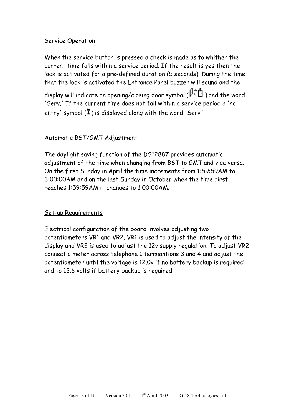### Service Operation

When the service button is pressed a check is made as to whither the current time falls within a service period. If the result is yes then the lock is activated for a pre-defined duration (5 seconds). During the time that the lock is activated the Entrance Panel buzzer will sound and the display will indicate an opening/closing door symbol ( $\beta \rightleftarrows \bigoplus$ ) and the word 'Serv.' If the current time does not fall within a service period a 'no entry' symbol  $(\overline{f})$  is displayed along with the word 'Serv.'

# Automatic BST/GMT Adjustment

The daylight saving function of the DS12887 provides automatic adjustment of the time when changing from BST to GMT and vica versa. On the first Sunday in April the time increments from 1:59:59AM to 3:00:00AM and on the last Sunday in October when the time first reaches 1:59:59AM it changes to 1:00:00AM.

#### Set-up Requirements

Electrical configuration of the board involves adjusting two potentiometers VR1 and VR2. VR1 is used to adjust the intensity of the display and VR2 is used to adjust the 12v supply regulation. To adjust VR2 connect a meter across telephone 1 termiantions 3 and 4 and adjust the potentiometer until the voltage is 12.0v if no battery backup is required and to 13.6 volts if battery backup is required.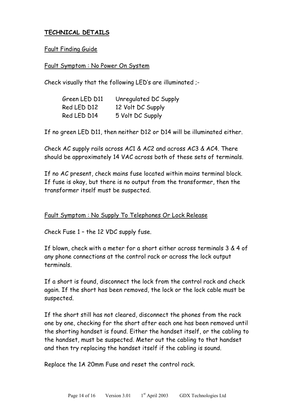# **TECHNICAL DETAILS**

#### Fault Finding Guide

#### Fault Symptom : No Power On System

Check visually that the following LED's are illuminated ;-

| Green LED D11 | Unregulated DC Supply |
|---------------|-----------------------|
| Red LED D12   | 12 Volt DC Supply     |
| Red LED D14   | 5 Volt DC Supply      |

If no green LED D11, then neither D12 or D14 will be illuminated either.

Check AC supply rails across AC1 & AC2 and across AC3 & AC4. There should be approximately 14 VAC across both of these sets of terminals.

If no AC present, check mains fuse located within mains terminal block. If fuse is okay, but there is no output from the transformer, then the transformer itself must be suspected.

#### Fault Symptom : No Supply To Telephones Or Lock Release

Check Fuse 1 – the 12 VDC supply fuse.

If blown, check with a meter for a short either across terminals 3 & 4 of any phone connections at the control rack or across the lock output terminals.

If a short is found, disconnect the lock from the control rack and check again. If the short has been removed, the lock or the lock cable must be suspected.

If the short still has not cleared, disconnect the phones from the rack one by one, checking for the short after each one has been removed until the shorting handset is found. Either the handset itself, or the cabling to the handset, must be suspected. Meter out the cabling to that handset and then try replacing the handset itself if the cabling is sound.

Replace the 1A 20mm Fuse and reset the control rack.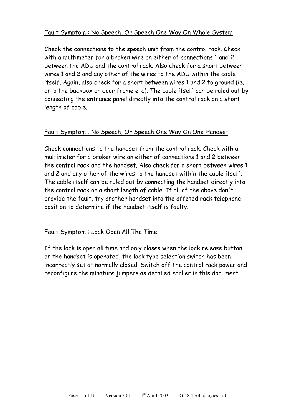# Fault Symptom : No Speech, Or Speech One Way On Whole System

Check the connections to the speech unit from the control rack. Check with a multimeter for a broken wire on either of connections 1 and 2 between the ADU and the control rack. Also check for a short between wires 1 and 2 and any other of the wires to the ADU within the cable itself. Again, also check for a short between wires 1 and 2 to ground (ie. onto the backbox or door frame etc). The cable itself can be ruled out by connecting the entrance panel directly into the control rack on a short length of cable.

# Fault Symptom : No Speech, Or Speech One Way On One Handset

Check connections to the handset from the control rack. Check with a multimeter for a broken wire on either of connections 1 and 2 between the control rack and the handset. Also check for a short between wires 1 and 2 and any other of the wires to the handset within the cable itself. The cable itself can be ruled out by connecting the handset directly into the control rack on a short length of cable. If all of the above don't provide the fault, try another handset into the affeted rack telephone position to determine if the handset itself is faulty.

# Fault Symptom : Lock Open All The Time

If the lock is open all time and only closes when the lock release button on the handset is operated, the lock type selection switch has been incorrectly set at normally closed. Switch off the control rack power and reconfigure the minature jumpers as detailed earlier in this document.